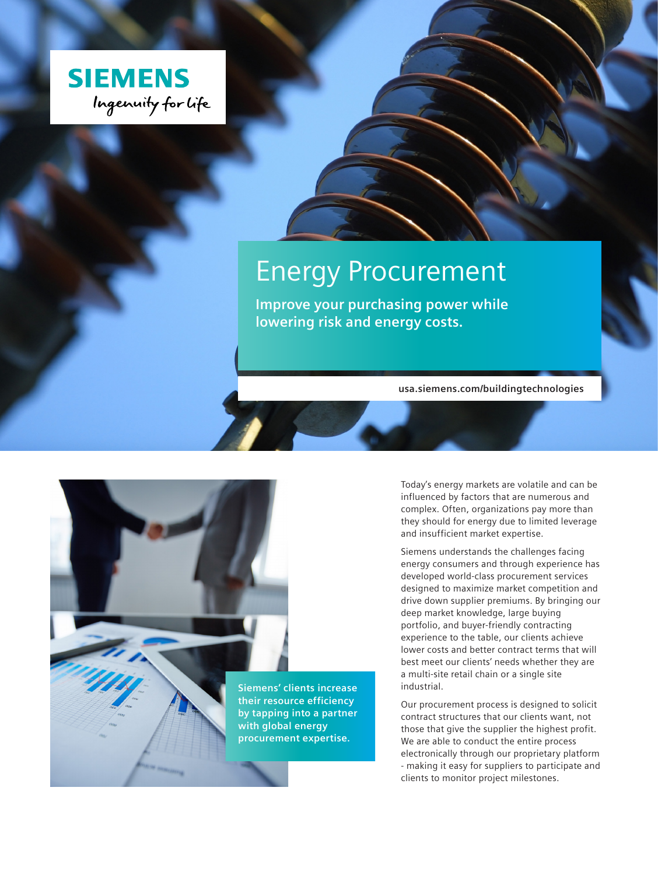

# Energy Procurement

**Improve your purchasing power while lowering risk and energy costs.**

**usa.siemens.com/buildingtechnologies**

**Siemens' clients increase their resource efficiency by tapping into a partner with global energy procurement expertise.**

Today's energy markets are volatile and can be influenced by factors that are numerous and complex. Often, organizations pay more than they should for energy due to limited leverage and insufficient market expertise.

Siemens understands the challenges facing energy consumers and through experience has developed world-class procurement services designed to maximize market competition and drive down supplier premiums. By bringing our deep market knowledge, large buying portfolio, and buyer-friendly contracting experience to the table, our clients achieve lower costs and better contract terms that will best meet our clients' needs whether they are a multi-site retail chain or a single site industrial.

Our procurement process is designed to solicit contract structures that our clients want, not those that give the supplier the highest profit. We are able to conduct the entire process electronically through our proprietary platform - making it easy for suppliers to participate and clients to monitor project milestones.